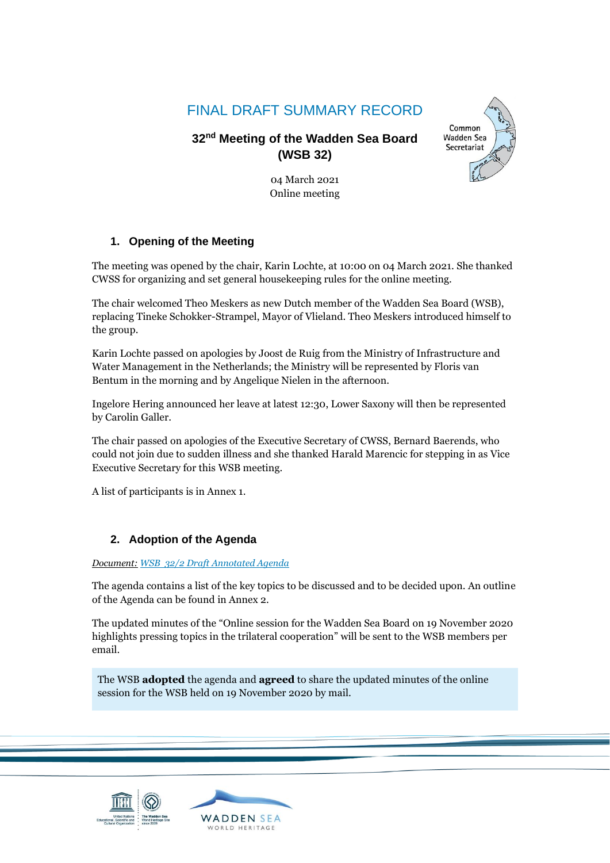# FINAL DRAFT SUMMARY RECORD

# **32 nd Meeting of the Wadden Sea Board (WSB 32)**



04 March 2021 Online meeting

# **1. Opening of the Meeting**

The meeting was opened by the chair, Karin Lochte, at 10:00 on 04 March 2021. She thanked CWSS for organizing and set general housekeeping rules for the online meeting.

The chair welcomed Theo Meskers as new Dutch member of the Wadden Sea Board (WSB), replacing Tineke Schokker-Strampel, Mayor of Vlieland. Theo Meskers introduced himself to the group.

Karin Lochte passed on apologies by Joost de Ruig from the Ministry of Infrastructure and Water Management in the Netherlands; the Ministry will be represented by Floris van Bentum in the morning and by Angelique Nielen in the afternoon.

Ingelore Hering announced her leave at latest 12:30, Lower Saxony will then be represented by Carolin Galler.

The chair passed on apologies of the Executive Secretary of CWSS, Bernard Baerends, who could not join due to sudden illness and she thanked Harald Marencic for stepping in as Vice Executive Secretary for this WSB meeting.

A list of participants is in Annex 1.

## **2. Adoption of the Agenda**

#### *Document: [WSB 32/2 Draft Annotated Agenda](https://www.waddensea-worldheritage.org/system/files/WSB-32-2_WSB%2032%20Draft%20annotated%20agenda_v11feb2021.pdf)*

The agenda contains a list of the key topics to be discussed and to be decided upon. An outline of the Agenda can be found in Annex 2.

The updated minutes of the "Online session for the Wadden Sea Board on 19 November 2020 highlights pressing topics in the trilateral cooperation" will be sent to the WSB members per email.

The WSB **adopted** the agenda and **agreed** to share the updated minutes of the online session for the WSB held on 19 November 2020 by mail.

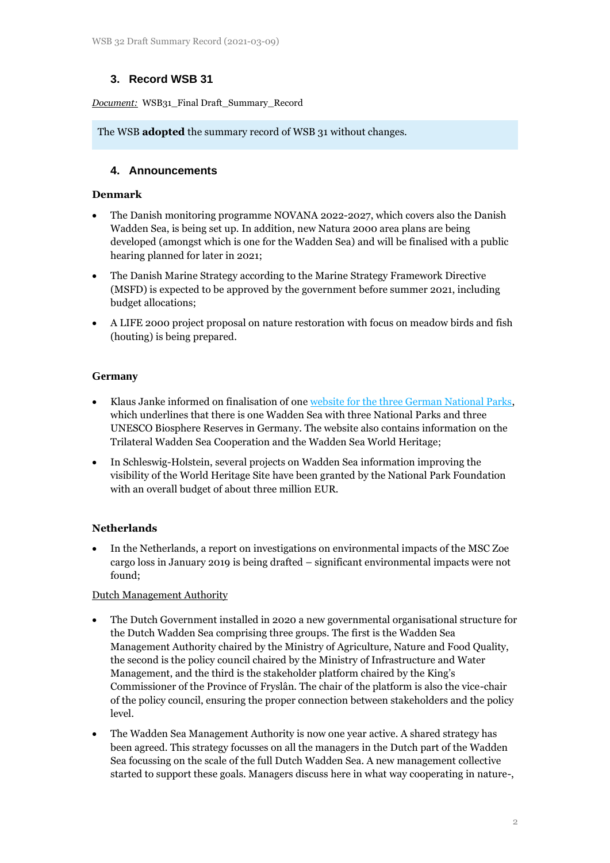## **3. Record WSB 31**

*Document:* WSB31\_Final Draft\_Summary\_Record

The WSB **adopted** the summary record of WSB 31 without changes.

## **4. Announcements**

## **Denmark**

- The Danish monitoring programme NOVANA 2022-2027, which covers also the Danish Wadden Sea, is being set up. In addition, new Natura 2000 area plans are being developed (amongst which is one for the Wadden Sea) and will be finalised with a public hearing planned for later in 2021;
- The Danish Marine Strategy according to the Marine Strategy Framework Directive (MSFD) is expected to be approved by the government before summer 2021, including budget allocations;
- A LIFE 2000 project proposal on nature restoration with focus on meadow birds and fish (houting) is being prepared.

## **Germany**

- Klaus Janke informed on finalisation of one [website for the three German National Parks,](https://www.nationalpark-wattenmeer.de/) which underlines that there is one Wadden Sea with three National Parks and three UNESCO Biosphere Reserves in Germany. The website also contains information on the Trilateral Wadden Sea Cooperation and the Wadden Sea World Heritage;
- In Schleswig-Holstein, several projects on Wadden Sea information improving the visibility of the World Heritage Site have been granted by the National Park Foundation with an overall budget of about three million EUR.

## **Netherlands**

• In the Netherlands, a report on investigations on environmental impacts of the MSC Zoe cargo loss in January 2019 is being drafted – significant environmental impacts were not found;

#### Dutch Management Authority

- The Dutch Government installed in 2020 a new governmental organisational structure for the Dutch Wadden Sea comprising three groups. The first is the Wadden Sea Management Authority chaired by the Ministry of Agriculture, Nature and Food Quality, the second is the policy council chaired by the Ministry of Infrastructure and Water Management, and the third is the stakeholder platform chaired by the King's Commissioner of the Province of Fryslân. The chair of the platform is also the vice-chair of the policy council, ensuring the proper connection between stakeholders and the policy level.
- The Wadden Sea Management Authority is now one year active. A shared strategy has been agreed. This strategy focusses on all the managers in the Dutch part of the Wadden Sea focussing on the scale of the full Dutch Wadden Sea. A new management collective started to support these goals. Managers discuss here in what way cooperating in nature-,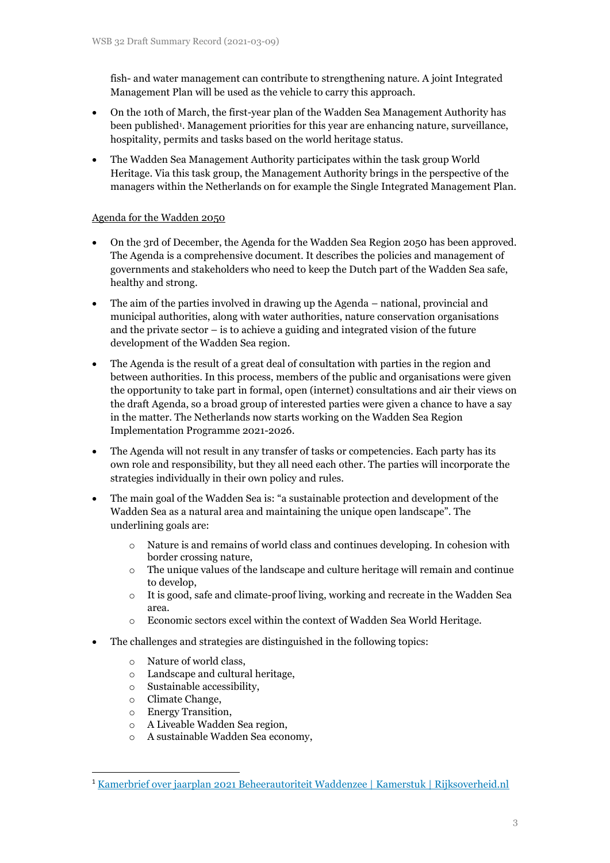fish- and water management can contribute to strengthening nature. A joint Integrated Management Plan will be used as the vehicle to carry this approach.

- On the 10th of March, the first-year plan of the Wadden Sea Management Authority has been published<sup>1</sup> . Management priorities for this year are enhancing nature, surveillance, hospitality, permits and tasks based on the world heritage status.
- The Wadden Sea Management Authority participates within the task group World Heritage. Via this task group, the Management Authority brings in the perspective of the managers within the Netherlands on for example the Single Integrated Management Plan.

## Agenda for the Wadden 2050

- On the 3rd of December, the Agenda for the Wadden Sea Region 2050 has been approved. The Agenda is a comprehensive document. It describes the policies and management of governments and stakeholders who need to keep the Dutch part of the Wadden Sea safe, healthy and strong.
- The aim of the parties involved in drawing up the Agenda national, provincial and municipal authorities, along with water authorities, nature conservation organisations and the private sector – is to achieve a guiding and integrated vision of the future development of the Wadden Sea region.
- The Agenda is the result of a great deal of consultation with parties in the region and between authorities. In this process, members of the public and organisations were given the opportunity to take part in formal, open (internet) consultations and air their views on the draft Agenda, so a broad group of interested parties were given a chance to have a say in the matter. The Netherlands now starts working on the Wadden Sea Region Implementation Programme 2021-2026.
- The Agenda will not result in any transfer of tasks or competencies. Each party has its own role and responsibility, but they all need each other. The parties will incorporate the strategies individually in their own policy and rules.
- The main goal of the Wadden Sea is: "a sustainable protection and development of the Wadden Sea as a natural area and maintaining the unique open landscape". The underlining goals are:
	- o Nature is and remains of world class and continues developing. In cohesion with border crossing nature,
	- $\circ$  The unique values of the landscape and culture heritage will remain and continue to develop,
	- $\circ$  It is good, safe and climate-proof living, working and recreate in the Wadden Sea area.
	- o Economic sectors excel within the context of Wadden Sea World Heritage.
- The challenges and strategies are distinguished in the following topics:
	- o Nature of world class,
	- o Landscape and cultural heritage,
	- o Sustainable accessibility,
	- o Climate Change,
	- o Energy Transition,
	- o A Liveable Wadden Sea region,
	- o A sustainable Wadden Sea economy,

<sup>1</sup> [Kamerbrief over jaarplan 2021 Beheerautoriteit Waddenzee | Kamerstuk | Rijksoverheid.nl](https://www.rijksoverheid.nl/documenten/kamerstukken/2021/03/10/kamerbrief-over-jaarplan-2021-beheerautoriteit-waddenzee)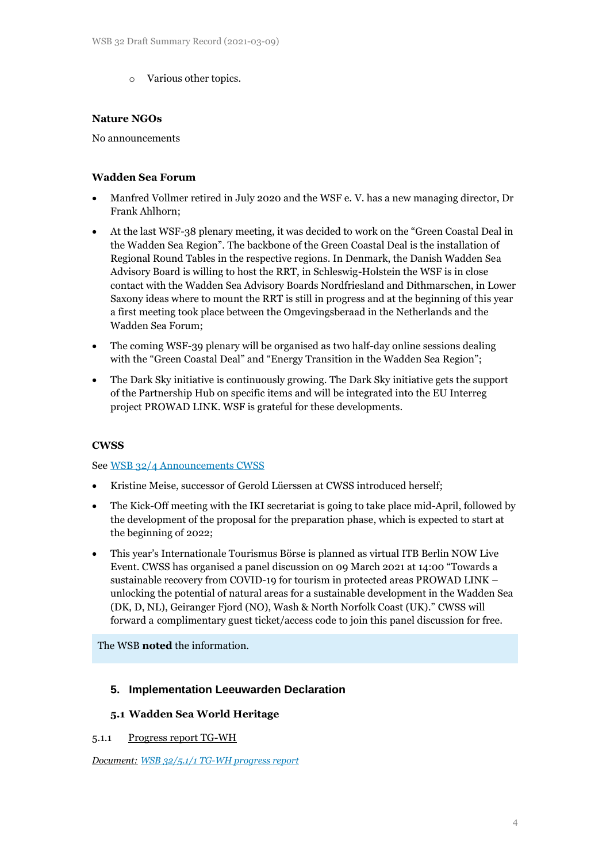o Various other topics.

#### **Nature NGOs**

No announcements

## **Wadden Sea Forum**

- Manfred Vollmer retired in July 2020 and the WSF e. V. has a new managing director, Dr Frank Ahlhorn;
- At the last WSF-38 plenary meeting, it was decided to work on the "Green Coastal Deal in the Wadden Sea Region". The backbone of the Green Coastal Deal is the installation of Regional Round Tables in the respective regions. In Denmark, the Danish Wadden Sea Advisory Board is willing to host the RRT, in Schleswig-Holstein the WSF is in close contact with the Wadden Sea Advisory Boards Nordfriesland and Dithmarschen, in Lower Saxony ideas where to mount the RRT is still in progress and at the beginning of this year a first meeting took place between the Omgevingsberaad in the Netherlands and the Wadden Sea Forum;
- The coming WSF-39 plenary will be organised as two half-day online sessions dealing with the "Green Coastal Deal" and "Energy Transition in the Wadden Sea Region";
- The Dark Sky initiative is continuously growing. The Dark Sky initiative gets the support of the Partnership Hub on specific items and will be integrated into the EU Interreg project PROWAD LINK. WSF is grateful for these developments.

#### **CWSS**

#### See [WSB 32/4 Announcements CWSS](https://www.waddensea-worldheritage.org/system/files/WSB-32-4%20Announcements%20by%20CWSS.pdf)

- Kristine Meise, successor of Gerold Lüerssen at CWSS introduced herself;
- The Kick-Off meeting with the IKI secretariat is going to take place mid-April, followed by the development of the proposal for the preparation phase, which is expected to start at the beginning of 2022;
- This year's Internationale Tourismus Börse is planned as virtual ITB Berlin NOW Live Event. CWSS has organised a panel discussion on 09 March 2021 at 14:00 "Towards a sustainable recovery from COVID-19 for tourism in protected areas PROWAD LINK – unlocking the potential of natural areas for a sustainable development in the Wadden Sea (DK, D, NL), Geiranger Fjord (NO), Wash & North Norfolk Coast (UK)." CWSS will forward a complimentary guest ticket/access code to join this panel discussion for free.

The WSB **noted** the information.

## **5. Implementation Leeuwarden Declaration**

#### **5.1 Wadden Sea World Heritage**

#### 5.1.1 Progress report TG-WH

*Document: [WSB 32/5.1/1 TG-WH progress report](https://www.waddensea-worldheritage.org/system/files/WSB-32-5-1-1%20tg%20wh%20progress%20report.pdf)*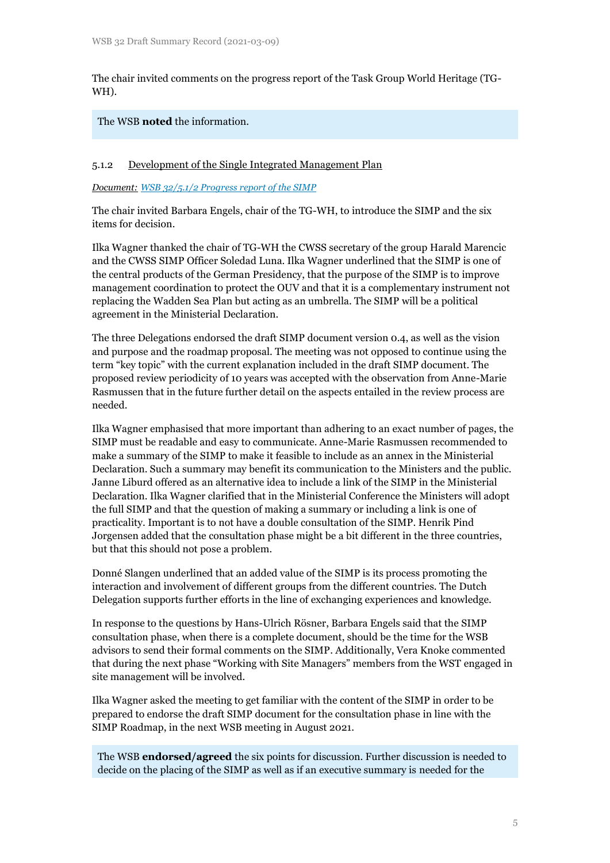The chair invited comments on the progress report of the Task Group World Heritage (TG-WH).

### The WSB **noted** the information.

### 5.1.2 Development of the Single Integrated Management Plan

*Document: [WSB 32/5.1/2 Progress report of the SIMP](https://www.waddensea-worldheritage.org/system/files/WSB-32-5-1-2-Progress%20report%20of%20the%20SIMP.pdf)*

The chair invited Barbara Engels, chair of the TG-WH, to introduce the SIMP and the six items for decision.

Ilka Wagner thanked the chair of TG-WH the CWSS secretary of the group Harald Marencic and the CWSS SIMP Officer Soledad Luna. Ilka Wagner underlined that the SIMP is one of the central products of the German Presidency, that the purpose of the SIMP is to improve management coordination to protect the OUV and that it is a complementary instrument not replacing the Wadden Sea Plan but acting as an umbrella. The SIMP will be a political agreement in the Ministerial Declaration.

The three Delegations endorsed the draft SIMP document version 0.4, as well as the vision and purpose and the roadmap proposal. The meeting was not opposed to continue using the term "key topic" with the current explanation included in the draft SIMP document. The proposed review periodicity of 10 years was accepted with the observation from Anne-Marie Rasmussen that in the future further detail on the aspects entailed in the review process are needed.

Ilka Wagner emphasised that more important than adhering to an exact number of pages, the SIMP must be readable and easy to communicate. Anne-Marie Rasmussen recommended to make a summary of the SIMP to make it feasible to include as an annex in the Ministerial Declaration. Such a summary may benefit its communication to the Ministers and the public. Janne Liburd offered as an alternative idea to include a link of the SIMP in the Ministerial Declaration. Ilka Wagner clarified that in the Ministerial Conference the Ministers will adopt the full SIMP and that the question of making a summary or including a link is one of practicality. Important is to not have a double consultation of the SIMP. Henrik Pind Jorgensen added that the consultation phase might be a bit different in the three countries, but that this should not pose a problem.

Donné Slangen underlined that an added value of the SIMP is its process promoting the interaction and involvement of different groups from the different countries. The Dutch Delegation supports further efforts in the line of exchanging experiences and knowledge.

In response to the questions by Hans-Ulrich Rösner, Barbara Engels said that the SIMP consultation phase, when there is a complete document, should be the time for the WSB advisors to send their formal comments on the SIMP. Additionally, Vera Knoke commented that during the next phase "Working with Site Managers" members from the WST engaged in site management will be involved.

Ilka Wagner asked the meeting to get familiar with the content of the SIMP in order to be prepared to endorse the draft SIMP document for the consultation phase in line with the SIMP Roadmap, in the next WSB meeting in August 2021.

The WSB **endorsed/agreed** the six points for discussion. Further discussion is needed to decide on the placing of the SIMP as well as if an executive summary is needed for the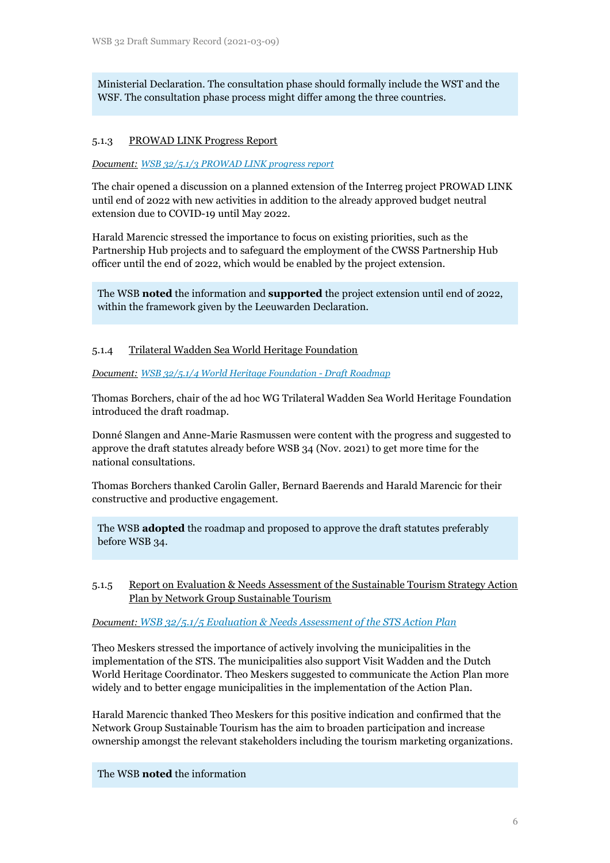Ministerial Declaration. The consultation phase should formally include the WST and the WSF. The consultation phase process might differ among the three countries.

#### 5.1.3 PROWAD LINK Progress Report

*Document: [WSB 32/5.1/3 PROWAD LINK progress report](https://www.waddensea-worldheritage.org/system/files/WSB-32-5-1-3%20prowad-link%20progress%20report.pdf)*

The chair opened a discussion on a planned extension of the Interreg project PROWAD LINK until end of 2022 with new activities in addition to the already approved budget neutral extension due to COVID-19 until May 2022.

Harald Marencic stressed the importance to focus on existing priorities, such as the Partnership Hub projects and to safeguard the employment of the CWSS Partnership Hub officer until the end of 2022, which would be enabled by the project extension.

The WSB **noted** the information and **supported** the project extension until end of 2022, within the framework given by the Leeuwarden Declaration.

#### 5.1.4 Trilateral Wadden Sea World Heritage Foundation

*Document: [WSB 32/5.1/4 World Heritage Foundation -](https://www.waddensea-worldheritage.org/system/files/WSB-32-5-1-4-Draft_Roadmap_World_Heritage_Foundation.pdf) Draft Roadmap*

Thomas Borchers, chair of the ad hoc WG Trilateral Wadden Sea World Heritage Foundation introduced the draft roadmap.

Donné Slangen and Anne-Marie Rasmussen were content with the progress and suggested to approve the draft statutes already before WSB 34 (Nov. 2021) to get more time for the national consultations.

Thomas Borchers thanked Carolin Galler, Bernard Baerends and Harald Marencic for their constructive and productive engagement.

The WSB **adopted** the roadmap and proposed to approve the draft statutes preferably before WSB 34.

#### 5.1.5 Report on Evaluation & Needs Assessment of the Sustainable Tourism Strategy Action Plan by Network Group Sustainable Tourism

#### *Document: [WSB 32/5.1/5 Evaluation & Needs Assessment of the STS Action Plan](https://www.waddensea-worldheritage.org/system/files/WSB%2032-5-1-5_report%20NG-ST.pdf)*

Theo Meskers stressed the importance of actively involving the municipalities in the implementation of the STS. The municipalities also support Visit Wadden and the Dutch World Heritage Coordinator. Theo Meskers suggested to communicate the Action Plan more widely and to better engage municipalities in the implementation of the Action Plan.

Harald Marencic thanked Theo Meskers for this positive indication and confirmed that the Network Group Sustainable Tourism has the aim to broaden participation and increase ownership amongst the relevant stakeholders including the tourism marketing organizations.

#### The WSB **noted** the information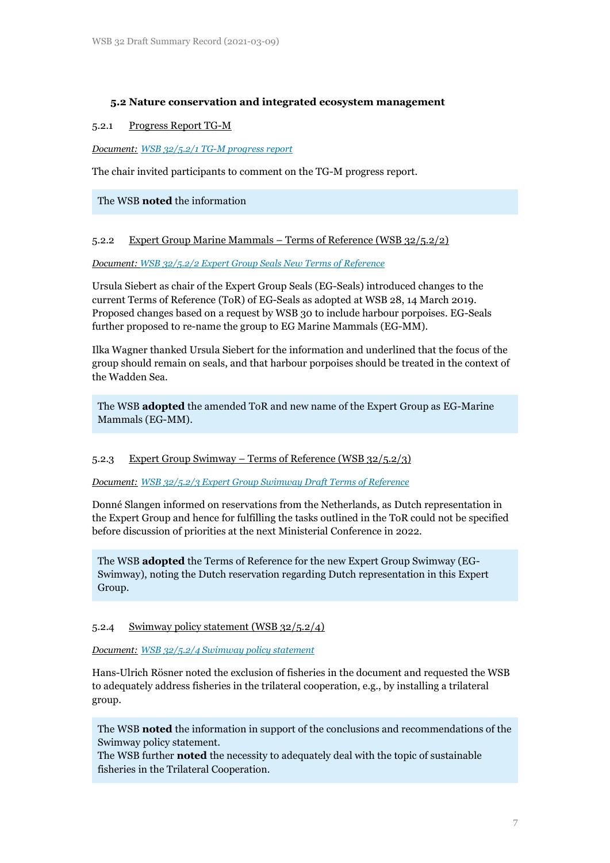### **5.2 Nature conservation and integrated ecosystem management**

#### 5.2.1 Progress Report TG-M

*Document: [WSB 32/5.2/1 TG-M progress report](https://www.waddensea-worldheritage.org/system/files/WSB-32-5-2-1-tg%20m%20progress%20report.pdf)*

The chair invited participants to comment on the TG-M progress report.

The WSB **noted** the information

5.2.2 Expert Group Marine Mammals – Terms of Reference (WSB 32/5.2/2)

*Document: [WSB 32/5.2/2 Expert Group Seals New Terms of Reference](https://www.waddensea-worldheritage.org/system/files/WSB%2032-5-2-2%20EG-Seals%20new%20TOR.pdf)*

Ursula Siebert as chair of the Expert Group Seals (EG-Seals) introduced changes to the current Terms of Reference (ToR) of EG-Seals as adopted at WSB 28, 14 March 2019. Proposed changes based on a request by WSB 30 to include harbour porpoises. EG-Seals further proposed to re-name the group to EG Marine Mammals (EG-MM).

Ilka Wagner thanked Ursula Siebert for the information and underlined that the focus of the group should remain on seals, and that harbour porpoises should be treated in the context of the Wadden Sea.

The WSB **adopted** the amended ToR and new name of the Expert Group as EG-Marine Mammals (EG-MM).

#### 5.2.3 Expert Group Swimway – Terms of Reference (WSB 32/5.2/3)

*Document: [WSB 32/5.2/3 Expert Group Swimway Draft Terms of Reference](https://www.waddensea-worldheritage.org/system/files/WSB-32-5-2-3-ToR%20EG-Swimway.pdf)*

Donné Slangen informed on reservations from the Netherlands, as Dutch representation in the Expert Group and hence for fulfilling the tasks outlined in the ToR could not be specified before discussion of priorities at the next Ministerial Conference in 2022.

The WSB **adopted** the Terms of Reference for the new Expert Group Swimway (EG-Swimway), noting the Dutch reservation regarding Dutch representation in this Expert Group.

#### 5.2.4 Swimway policy statement (WSB 32/5.2/4)

*Document: [WSB 32/5.2/4 Swimway policy statement](https://www.waddensea-worldheritage.org/system/files/WSB-32-5-2-4-Swimway-policy-statement.pdf)*

Hans-Ulrich Rösner noted the exclusion of fisheries in the document and requested the WSB to adequately address fisheries in the trilateral cooperation, e.g., by installing a trilateral group.

The WSB **noted** the information in support of the conclusions and recommendations of the Swimway policy statement.

The WSB further **noted** the necessity to adequately deal with the topic of sustainable fisheries in the Trilateral Cooperation.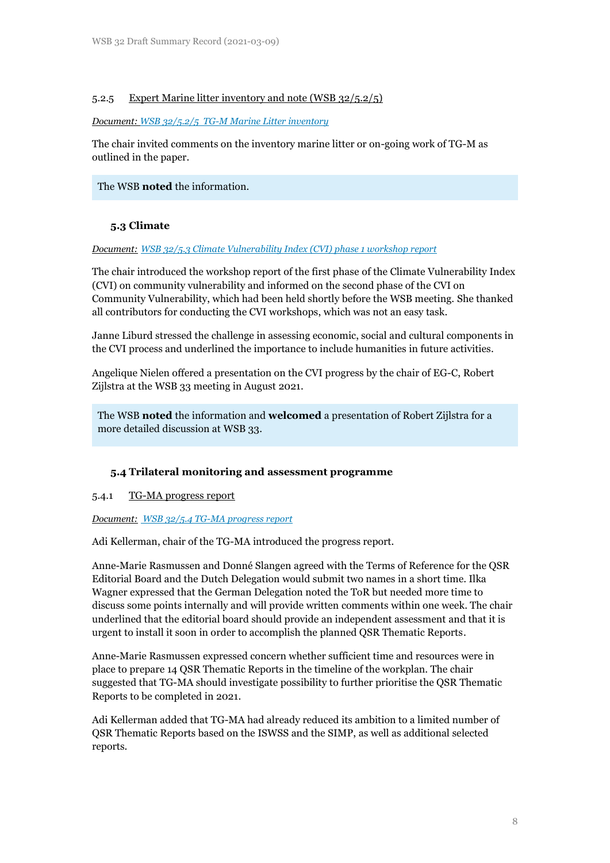### 5.2.5 Expert Marine litter inventory and note (WSB 32/5.2/5)

#### *Document: [WSB 32/5.2/5 TG-M Marine Litter inventory](https://www.waddensea-worldheritage.org/system/files/WSB-32-5-2-5-tg%20m%20marine%20litter.pdf)*

The chair invited comments on the inventory marine litter or on-going work of TG-M as outlined in the paper.

The WSB **noted** the information.

## **5.3 Climate**

#### *Document: [WSB 32/5.3 Climate Vulnerability Index \(CVI\) phase 1 workshop report](https://www.waddensea-worldheritage.org/system/files/WSB-32-5-3%20climate-vulnerability-index-report-phase-1.pdf)*

The chair introduced the workshop report of the first phase of the Climate Vulnerability Index (CVI) on community vulnerability and informed on the second phase of the CVI on Community Vulnerability, which had been held shortly before the WSB meeting. She thanked all contributors for conducting the CVI workshops, which was not an easy task.

Janne Liburd stressed the challenge in assessing economic, social and cultural components in the CVI process and underlined the importance to include humanities in future activities.

Angelique Nielen offered a presentation on the CVI progress by the chair of EG-C, Robert Zijlstra at the WSB 33 meeting in August 2021.

The WSB **noted** the information and **welcomed** a presentation of Robert Zijlstra for a more detailed discussion at WSB 33.

#### **5.4 Trilateral monitoring and assessment programme**

#### 5.4.1 TG-MA progress report

#### *Document: [WSB 32/5.4 TG-MA progress report](https://www.waddensea-worldheritage.org/system/files/WSB-32-5-4%20TG-MA%20Progress%20Report.pdf)*

Adi Kellerman, chair of the TG-MA introduced the progress report.

Anne-Marie Rasmussen and Donné Slangen agreed with the Terms of Reference for the QSR Editorial Board and the Dutch Delegation would submit two names in a short time. Ilka Wagner expressed that the German Delegation noted the ToR but needed more time to discuss some points internally and will provide written comments within one week. The chair underlined that the editorial board should provide an independent assessment and that it is urgent to install it soon in order to accomplish the planned QSR Thematic Reports.

Anne-Marie Rasmussen expressed concern whether sufficient time and resources were in place to prepare 14 QSR Thematic Reports in the timeline of the workplan. The chair suggested that TG-MA should investigate possibility to further prioritise the QSR Thematic Reports to be completed in 2021.

Adi Kellerman added that TG-MA had already reduced its ambition to a limited number of QSR Thematic Reports based on the ISWSS and the SIMP, as well as additional selected reports.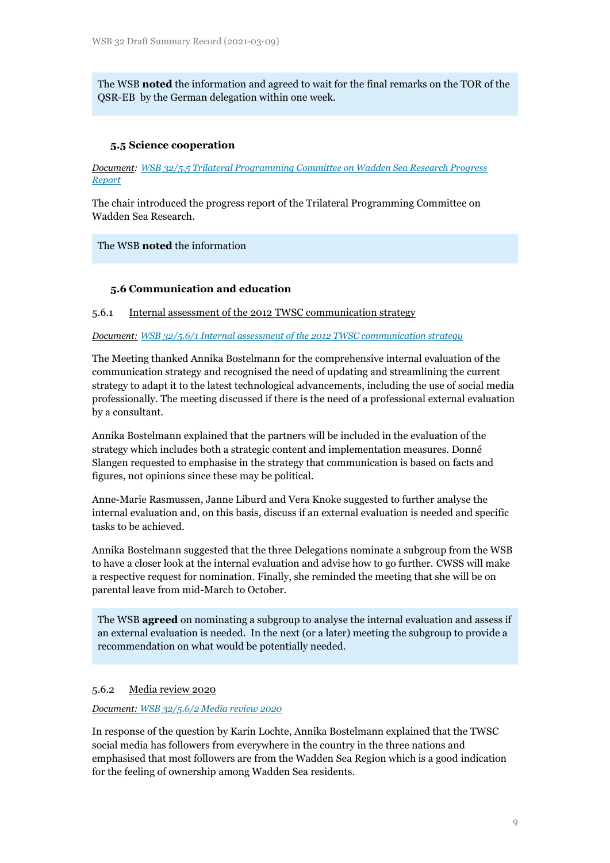The WSB **noted** the information and agreed to wait for the final remarks on the TOR of the QSR-EB by the German delegation within one week.

#### **5.5 Science cooperation**

*Document: [WSB 32/5.5 Trilateral Programming Committee on Wadden Sea Research Progress](https://www.waddensea-worldheritage.org/system/files/WSB-32-5-5-Progress%20report%20TPC-WSR.pdf)  [Report](https://www.waddensea-worldheritage.org/system/files/WSB-32-5-5-Progress%20report%20TPC-WSR.pdf)*

The chair introduced the progress report of the Trilateral Programming Committee on Wadden Sea Research.

#### The WSB **noted** the information

#### **5.6 Communication and education**

#### 5.6.1 Internal assessment of the 2012 TWSC communication strategy

*Document: [WSB 32/5.6/1 Internal assessment of the 2012 TWSC communication strategy](https://www.waddensea-worldheritage.org/system/files/WSB-32-5-6-1-Internal%20evaluation%20communication%20strategy_0.pdf)*

The Meeting thanked Annika Bostelmann for the comprehensive internal evaluation of the communication strategy and recognised the need of updating and streamlining the current strategy to adapt it to the latest technological advancements, including the use of social media professionally. The meeting discussed if there is the need of a professional external evaluation by a consultant.

Annika Bostelmann explained that the partners will be included in the evaluation of the strategy which includes both a strategic content and implementation measures. Donné Slangen requested to emphasise in the strategy that communication is based on facts and figures, not opinions since these may be political.

Anne-Marie Rasmussen, Janne Liburd and Vera Knoke suggested to further analyse the internal evaluation and, on this basis, discuss if an external evaluation is needed and specific tasks to be achieved.

Annika Bostelmann suggested that the three Delegations nominate a subgroup from the WSB to have a closer look at the internal evaluation and advise how to go further. CWSS will make a respective request for nomination. Finally, she reminded the meeting that she will be on parental leave from mid-March to October.

The WSB **agreed** on nominating a subgroup to analyse the internal evaluation and assess if an external evaluation is needed. In the next (or a later) meeting the subgroup to provide a recommendation on what would be potentially needed.

#### 5.6.2 Media review 2020

*Document: [WSB 32/5.6/2 Media review 2020](https://www.waddensea-worldheritage.org/system/files/WSB-32-5-6-2-Media%20review%202020.pdf)*

In response of the question by Karin Lochte, Annika Bostelmann explained that the TWSC social media has followers from everywhere in the country in the three nations and emphasised that most followers are from the Wadden Sea Region which is a good indication for the feeling of ownership among Wadden Sea residents.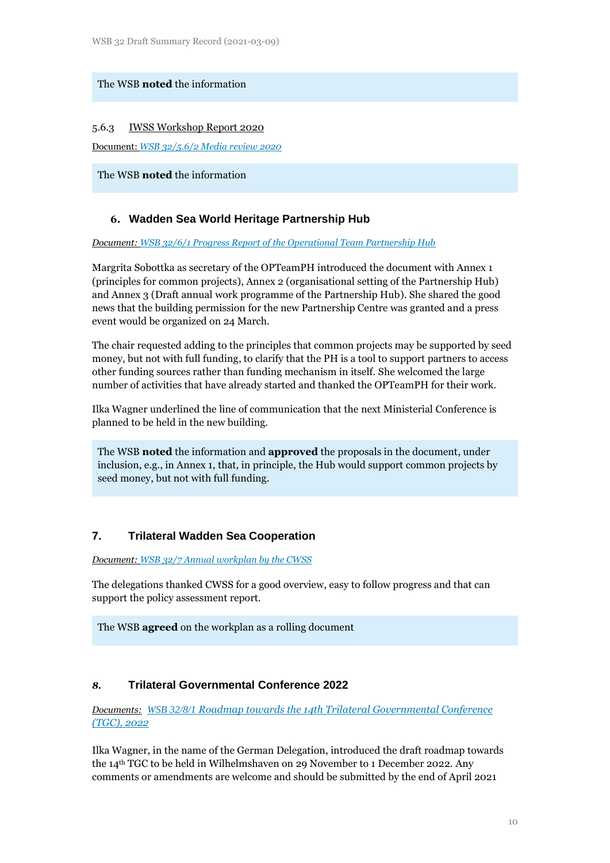## The WSB **noted** the information

#### 5.6.3 IWSS Workshop Report 2020

Document: *[WSB 32/5.6/2 Media review 2020](https://www.waddensea-worldheritage.org/system/files/WSB-32-5-6-3-IWSS%20Workshop%20Report%202020.pdf)*

The WSB **noted** the information

## **6. Wadden Sea World Heritage Partnership Hub**

#### *Document: [WSB 32/6/1 Progress Report of the Operational Team Partnership Hub](https://www.waddensea-worldheritage.org/system/files/WSB-32-6-1-OPteamPH%20progress%20report.pdf)*

Margrita Sobottka as secretary of the OPTeamPH introduced the document with Annex 1 (principles for common projects), Annex 2 (organisational setting of the Partnership Hub) and Annex 3 (Draft annual work programme of the Partnership Hub). She shared the good news that the building permission for the new Partnership Centre was granted and a press event would be organized on 24 March.

The chair requested adding to the principles that common projects may be supported by seed money, but not with full funding, to clarify that the PH is a tool to support partners to access other funding sources rather than funding mechanism in itself. She welcomed the large number of activities that have already started and thanked the OPTeamPH for their work.

Ilka Wagner underlined the line of communication that the next Ministerial Conference is planned to be held in the new building.

The WSB **noted** the information and **approved** the proposals in the document, under inclusion, e.g., in Annex 1, that, in principle, the Hub would support common projects by seed money, but not with full funding.

## **7. Trilateral Wadden Sea Cooperation**

*Document: [WSB 32/7 Annual workplan by the CWSS](https://www.waddensea-worldheritage.org/system/files/WSB-32-7%20-rev.1-%20Annual%20Workplan%20by%20CWSS.pdf)*

The delegations thanked CWSS for a good overview, easy to follow progress and that can support the policy assessment report.

The WSB **agreed** on the workplan as a rolling document

## *8.* **Trilateral Governmental Conference 2022**

*Documents: WSB 32/8/1 [Roadmap towards the 14th Trilateral Governmental Conference](https://www.waddensea-worldheritage.org/system/files/WSB-32-8%20-Draft%20Roadmap%20TGC%202022.pdf)  [\(TGC\), 2022](https://www.waddensea-worldheritage.org/system/files/WSB-32-8%20-Draft%20Roadmap%20TGC%202022.pdf)*

Ilka Wagner, in the name of the German Delegation, introduced the draft roadmap towards the 14th TGC to be held in Wilhelmshaven on 29 November to 1 December 2022. Any comments or amendments are welcome and should be submitted by the end of April 2021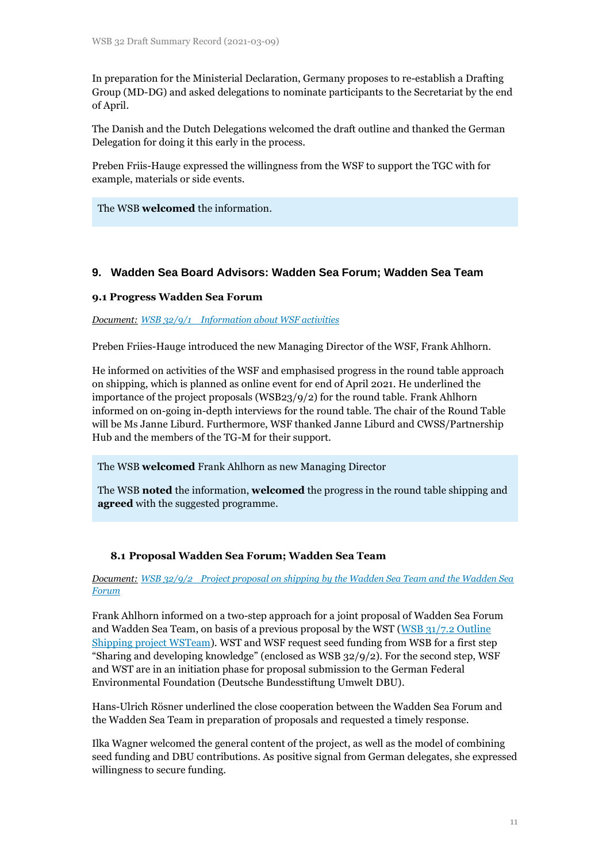In preparation for the Ministerial Declaration, Germany proposes to re-establish a Drafting Group (MD-DG) and asked delegations to nominate participants to the Secretariat by the end of April.

The Danish and the Dutch Delegations welcomed the draft outline and thanked the German Delegation for doing it this early in the process.

Preben Friis-Hauge expressed the willingness from the WSF to support the TGC with for example, materials or side events.

The WSB **welcomed** the information.

## **9. Wadden Sea Board Advisors: Wadden Sea Forum; Wadden Sea Team**

#### **9.1 Progress Wadden Sea Forum**

*Document: [WSB 32/9/1 Information about WSF activities](https://www.waddensea-worldheritage.org/system/files/WSB-32-9-1%20WSF.pdf)*

Preben Friies-Hauge introduced the new Managing Director of the WSF, Frank Ahlhorn.

He informed on activities of the WSF and emphasised progress in the round table approach on shipping, which is planned as online event for end of April 2021. He underlined the importance of the project proposals (WSB23/9/2) for the round table. Frank Ahlhorn informed on on-going in-depth interviews for the round table. The chair of the Round Table will be Ms Janne Liburd. Furthermore, WSF thanked Janne Liburd and CWSS/Partnership Hub and the members of the TG-M for their support.

The WSB **welcomed** Frank Ahlhorn as new Managing Director

The WSB **noted** the information, **welcomed** the progress in the round table shipping and **agreed** with the suggested programme.

#### **8.1 Proposal Wadden Sea Forum; Wadden Sea Team**

*Document: [WSB 32/9/2 Project proposal on shipping by the Wadden Sea Team and the Wadden Sea](https://www.waddensea-worldheritage.org/system/files/WSB-32-9-2-WST_WSF_Shipping_proposal_21-02-11_final.pdf)  [Forum](https://www.waddensea-worldheritage.org/system/files/WSB-32-9-2-WST_WSF_Shipping_proposal_21-02-11_final.pdf)*

Frank Ahlhorn informed on a two-step approach for a joint proposal of Wadden Sea Forum and Wadden Sea Team, on basis of a previous proposal by the WST [\(WSB 31/7.2 Outline](https://www.waddensea-worldheritage.org/system/files/WSB-31-7-2-Outline_Shipping_project_WSTeam.pdf)  [Shipping project WSTeam\)](https://www.waddensea-worldheritage.org/system/files/WSB-31-7-2-Outline_Shipping_project_WSTeam.pdf). WST and WSF request seed funding from WSB for a first step "Sharing and developing knowledge" (enclosed as WSB 32/9/2). For the second step, WSF and WST are in an initiation phase for proposal submission to the German Federal Environmental Foundation (Deutsche Bundesstiftung Umwelt DBU).

Hans-Ulrich Rösner underlined the close cooperation between the Wadden Sea Forum and the Wadden Sea Team in preparation of proposals and requested a timely response.

Ilka Wagner welcomed the general content of the project, as well as the model of combining seed funding and DBU contributions. As positive signal from German delegates, she expressed willingness to secure funding.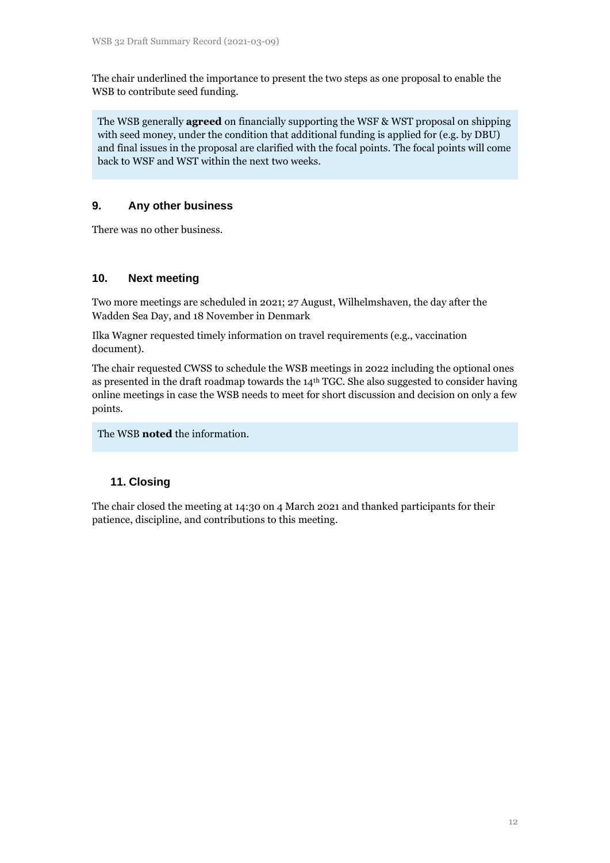The chair underlined the importance to present the two steps as one proposal to enable the WSB to contribute seed funding.

The WSB generally **agreed** on financially supporting the WSF & WST proposal on shipping with seed money, under the condition that additional funding is applied for (e.g. by DBU) and final issues in the proposal are clarified with the focal points. The focal points will come back to WSF and WST within the next two weeks.

## **9. Any other business**

There was no other business.

## **10. Next meeting**

Two more meetings are scheduled in 2021; 27 August, Wilhelmshaven, the day after the Wadden Sea Day, and 18 November in Denmark

Ilka Wagner requested timely information on travel requirements (e.g., vaccination document).

The chair requested CWSS to schedule the WSB meetings in 2022 including the optional ones as presented in the draft roadmap towards the 14th TGC. She also suggested to consider having online meetings in case the WSB needs to meet for short discussion and decision on only a few points.

The WSB **noted** the information.

## **11. Closing**

The chair closed the meeting at 14:30 on 4 March 2021 and thanked participants for their patience, discipline, and contributions to this meeting.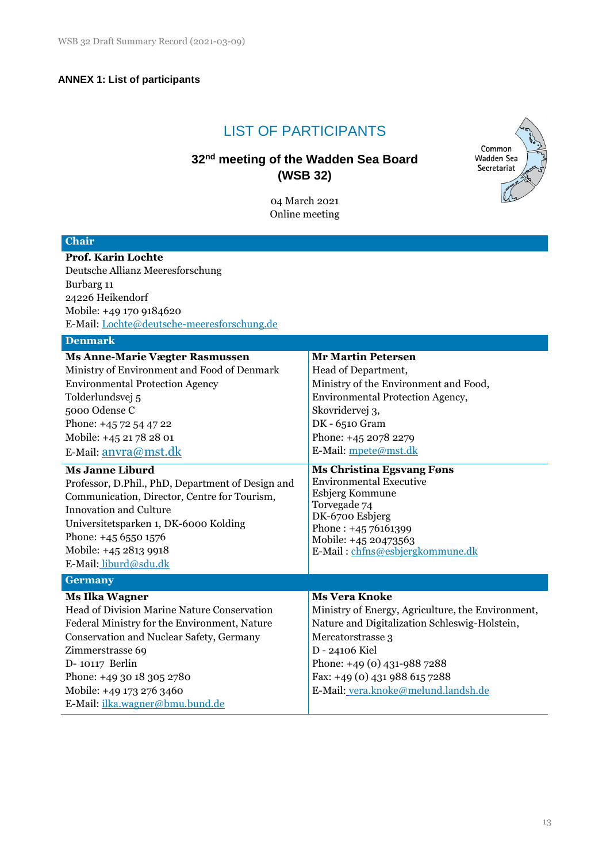# **ANNEX 1: List of participants**

# LIST OF PARTICIPANTS

# **32 nd meeting of the Wadden Sea Board (WSB 32)**



04 March 2021 Online meeting

| <b>Chair</b>                                                                                                                                                                                                                                                                                                                                                                                                                                                                                               |                                                                                                                                                                                                                                                                                                                                                                                                                                   |
|------------------------------------------------------------------------------------------------------------------------------------------------------------------------------------------------------------------------------------------------------------------------------------------------------------------------------------------------------------------------------------------------------------------------------------------------------------------------------------------------------------|-----------------------------------------------------------------------------------------------------------------------------------------------------------------------------------------------------------------------------------------------------------------------------------------------------------------------------------------------------------------------------------------------------------------------------------|
| <b>Prof. Karin Lochte</b><br>Deutsche Allianz Meeresforschung<br>Burbarg 11<br>24226 Heikendorf<br>Mobile: +49 170 9184620<br>E-Mail: Lochte@deutsche-meeresforschung.de                                                                                                                                                                                                                                                                                                                                   |                                                                                                                                                                                                                                                                                                                                                                                                                                   |
| <b>Denmark</b>                                                                                                                                                                                                                                                                                                                                                                                                                                                                                             |                                                                                                                                                                                                                                                                                                                                                                                                                                   |
| <b>Ms Anne-Marie Vægter Rasmussen</b><br>Ministry of Environment and Food of Denmark<br><b>Environmental Protection Agency</b><br>Tolderlundsvej 5<br>5000 Odense C<br>Phone: +45 72 54 47 22<br>Mobile: +45 21 78 28 01<br>E-Mail: anvra@mst.dk<br><b>Ms Janne Liburd</b><br>Professor, D.Phil., PhD, Department of Design and<br>Communication, Director, Centre for Tourism,<br><b>Innovation and Culture</b><br>Universitetsparken 1, DK-6000 Kolding<br>Phone: +45 6550 1576<br>Mobile: +45 2813 9918 | <b>Mr Martin Petersen</b><br>Head of Department,<br>Ministry of the Environment and Food,<br>Environmental Protection Agency,<br>Skovridervej 3,<br>DK - 6510 Gram<br>Phone: +45 2078 2279<br>E-Mail: mpete@mst.dk<br><b>Ms Christina Egsvang Føns</b><br><b>Environmental Executive</b><br>Esbjerg Kommune<br>Torvegade 74<br>DK-6700 Esbjerg<br>Phone: $+4576161399$<br>Mobile: +45 20473563<br>E-Mail: chfns@esbjergkommune.dk |
| E-Mail: liburd@sdu.dk                                                                                                                                                                                                                                                                                                                                                                                                                                                                                      |                                                                                                                                                                                                                                                                                                                                                                                                                                   |
| <b>Germany</b>                                                                                                                                                                                                                                                                                                                                                                                                                                                                                             |                                                                                                                                                                                                                                                                                                                                                                                                                                   |
| <b>Ms Ilka Wagner</b><br>Head of Division Marine Nature Conservation<br>Federal Ministry for the Environment, Nature<br>Conservation and Nuclear Safety, Germany<br>Zimmerstrasse 69<br>D- 10117 Berlin<br>Phone: +49 30 18 305 2780<br>Mobile: +49 173 276 3460<br>E-Mail: ilka.wagner@bmu.bund.de                                                                                                                                                                                                        | <b>Ms Vera Knoke</b><br>Ministry of Energy, Agriculture, the Environment,<br>Nature and Digitalization Schleswig-Holstein,<br>Mercatorstrasse 3<br>D - 24106 Kiel<br>Phone: +49 (0) 431-988 7288<br>Fax: +49 (0) 431 988 615 7288<br>E-Mail: vera.knoke@melund.landsh.de                                                                                                                                                          |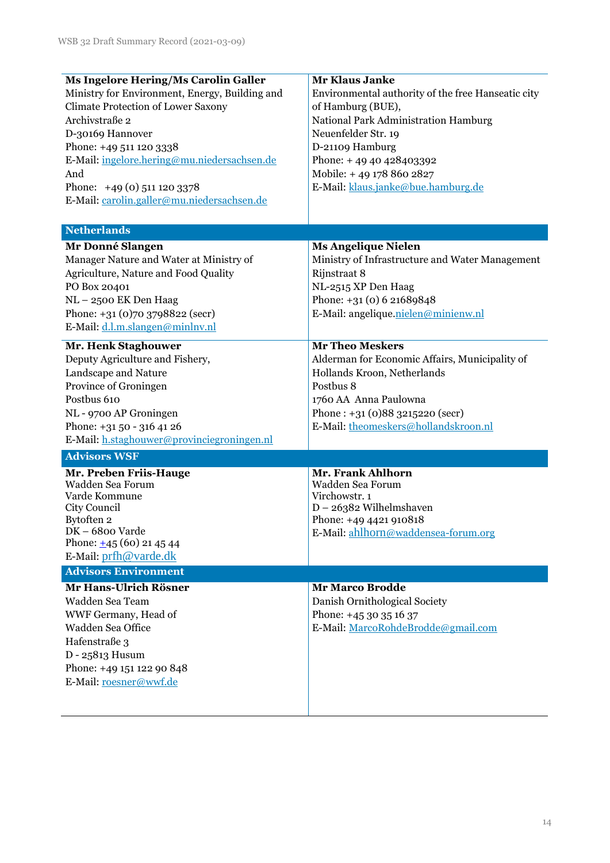| <b>Ms Ingelore Hering/Ms Carolin Galler</b>    | Mr Klaus Janke                                     |  |  |
|------------------------------------------------|----------------------------------------------------|--|--|
| Ministry for Environment, Energy, Building and | Environmental authority of the free Hanseatic city |  |  |
| Climate Protection of Lower Saxony             | of Hamburg (BUE),                                  |  |  |
| Archivstraße 2                                 | National Park Administration Hamburg               |  |  |
| D-30169 Hannover                               | Neuenfelder Str. 19                                |  |  |
| Phone: +49 511 120 3338                        | D-21109 Hamburg                                    |  |  |
| E-Mail: ingelore.hering@mu.niedersachsen.de    | Phone: +49 40 428403392                            |  |  |
| And                                            | Mobile: +49 178 860 2827                           |  |  |
| Phone: $+49(0)$ 511 120 3378                   | E-Mail: klaus.janke@bue.hamburg.de                 |  |  |
| E-Mail: carolin.galler@mu.niedersachsen.de     |                                                    |  |  |
|                                                |                                                    |  |  |
| <b>Netherlands</b>                             |                                                    |  |  |
| Mr Donné Slangen                               | <b>Ms Angelique Nielen</b>                         |  |  |
| Manager Nature and Water at Ministry of        | Ministry of Infrastructure and Water Management    |  |  |
| Agriculture, Nature and Food Quality           | Rijnstraat 8                                       |  |  |
| PO Box 20401                                   | NL-2515 XP Den Haag                                |  |  |
|                                                | Phone: +31 (0) 6 21689848                          |  |  |
| NL-2500 EK Den Haag                            |                                                    |  |  |
| Phone: +31 (0)70 3798822 (secr)                | E-Mail: angelique.nielen@minienw.nl                |  |  |
| E-Mail: d.l.m.slangen@minlnv.nl                |                                                    |  |  |
| <b>Mr. Henk Staghouwer</b>                     | <b>Mr Theo Meskers</b>                             |  |  |
| Deputy Agriculture and Fishery,                | Alderman for Economic Affairs, Municipality of     |  |  |
| Landscape and Nature                           | Hollands Kroon, Netherlands                        |  |  |
| Province of Groningen                          | Postbus 8                                          |  |  |
| Postbus 610                                    | 1760 AA Anna Paulowna                              |  |  |
| NL - 9700 AP Groningen                         | Phone: $+31(0)883215220$ (secr)                    |  |  |
| Phone: +31 50 - 316 41 26                      | E-Mail: theomeskers@hollandskroon.nl               |  |  |
| E-Mail: h.staghouwer@provinciegroningen.nl     |                                                    |  |  |
| <b>Advisors WSF</b>                            |                                                    |  |  |
| Mr. Preben Friis-Hauge                         | Mr. Frank Ahlhorn                                  |  |  |
| Wadden Sea Forum                               | Wadden Sea Forum                                   |  |  |
| Varde Kommune                                  | Virchowstr. 1                                      |  |  |
| City Council                                   | D - 26382 Wilhelmshaven                            |  |  |
| Bytoften 2                                     | Phone: +49 4421 910818                             |  |  |
| DK – 6800 Varde                                | E-Mail: ahlhorn@waddensea-forum.org                |  |  |
| Phone: $\pm$ 45 (60) 21 45 44                  |                                                    |  |  |
| E-Mail: prfh@varde.dk                          |                                                    |  |  |
| <b>Advisors Environment</b>                    |                                                    |  |  |
| Mr Hans-Ulrich Rösner                          | <b>Mr Marco Brodde</b>                             |  |  |
| Wadden Sea Team                                | Danish Ornithological Society                      |  |  |
| WWF Germany, Head of                           | Phone: +45 30 35 16 37                             |  |  |
| Wadden Sea Office                              | E-Mail: MarcoRohdeBrodde@gmail.com                 |  |  |
| Hafenstraße 3                                  |                                                    |  |  |
| D - 25813 Husum                                |                                                    |  |  |
| Phone: +49 151 122 90 848                      |                                                    |  |  |
| E-Mail: roesner@wwf.de                         |                                                    |  |  |
|                                                |                                                    |  |  |
|                                                |                                                    |  |  |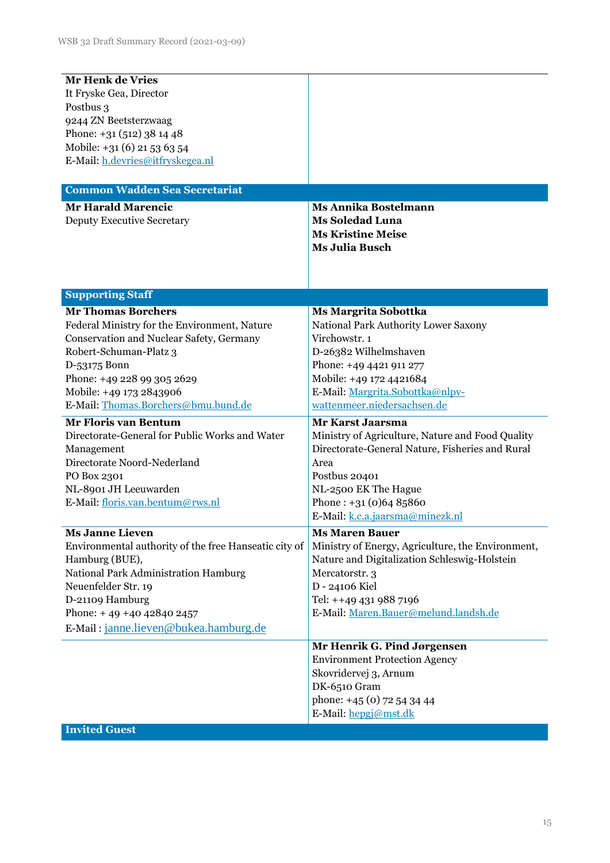| Mr Henk de Vries<br>It Fryske Gea, Director<br>Postbus 3    |                                                   |  |  |
|-------------------------------------------------------------|---------------------------------------------------|--|--|
| 9244 ZN Beetsterzwaag                                       |                                                   |  |  |
| Phone: $+31(512)381448$                                     |                                                   |  |  |
| Mobile: +31 (6) 21 53 63 54                                 |                                                   |  |  |
| E-Mail: h.devries@itfryskegea.nl                            |                                                   |  |  |
|                                                             |                                                   |  |  |
| <b>Common Wadden Sea Secretariat</b>                        |                                                   |  |  |
| <b>Mr Harald Marencic</b>                                   | <b>Ms Annika Bostelmann</b>                       |  |  |
| <b>Deputy Executive Secretary</b>                           | <b>Ms Soledad Luna</b>                            |  |  |
|                                                             | <b>Ms Kristine Meise</b>                          |  |  |
|                                                             | <b>Ms Julia Busch</b>                             |  |  |
|                                                             |                                                   |  |  |
|                                                             |                                                   |  |  |
| <b>Supporting Staff</b>                                     |                                                   |  |  |
| <b>Mr Thomas Borchers</b>                                   | <b>Ms Margrita Sobottka</b>                       |  |  |
| Federal Ministry for the Environment, Nature                | National Park Authority Lower Saxony              |  |  |
| Conservation and Nuclear Safety, Germany                    | Virchowstr. 1                                     |  |  |
| Robert-Schuman-Platz 3                                      | D-26382 Wilhelmshaven                             |  |  |
| D-53175 Bonn                                                | Phone: +49 4421 911 277                           |  |  |
| Phone: +49 228 99 305 2629                                  | Mobile: +49 172 4421684                           |  |  |
| Mobile: +49 173 2843906                                     | E-Mail: Margrita.Sobottka@nlpv-                   |  |  |
| E-Mail: Thomas.Borchers@bmu.bund.de                         | wattenmeer.niedersachsen.de                       |  |  |
| <b>Mr Floris van Bentum</b>                                 | <b>Mr Karst Jaarsma</b>                           |  |  |
| Directorate-General for Public Works and Water              | Ministry of Agriculture, Nature and Food Quality  |  |  |
| Management                                                  | Directorate-General Nature, Fisheries and Rural   |  |  |
| Directorate Noord-Nederland                                 | Area                                              |  |  |
| PO Box 2301                                                 | Postbus 20401                                     |  |  |
| NL-8901 JH Leeuwarden                                       | NL-2500 EK The Hague<br>Phone: $+31(0)6485860$    |  |  |
| E-Mail: floris.van.bentum@rws.nl                            | E-Mail: k.c.a.jaarsma@minezk.nl                   |  |  |
|                                                             |                                                   |  |  |
| <b>Ms Janne Lieven</b>                                      | <b>Ms Maren Bauer</b>                             |  |  |
| Environmental authority of the free Hanseatic city of       | Ministry of Energy, Agriculture, the Environment, |  |  |
| Hamburg (BUE),                                              | Nature and Digitalization Schleswig-Holstein      |  |  |
| National Park Administration Hamburg<br>Neuenfelder Str. 19 | Mercatorstr. 3<br>D - 24106 Kiel                  |  |  |
| D-21109 Hamburg                                             | Tel: ++49 431 988 7196                            |  |  |
| Phone: $+49 +40428402457$                                   | E-Mail: Maren.Bauer@melund.landsh.de              |  |  |
| E-Mail: janne.lieven@bukea.hamburg.de                       |                                                   |  |  |
|                                                             |                                                   |  |  |
|                                                             | Mr Henrik G. Pind Jørgensen                       |  |  |
|                                                             | <b>Environment Protection Agency</b>              |  |  |
|                                                             | Skovridervej 3, Arnum                             |  |  |
|                                                             | DK-6510 Gram                                      |  |  |
|                                                             | phone: +45 (0) 72 54 34 44                        |  |  |
|                                                             | E-Mail: hepgi@mst.dk                              |  |  |
| <b>Invited Guest</b>                                        |                                                   |  |  |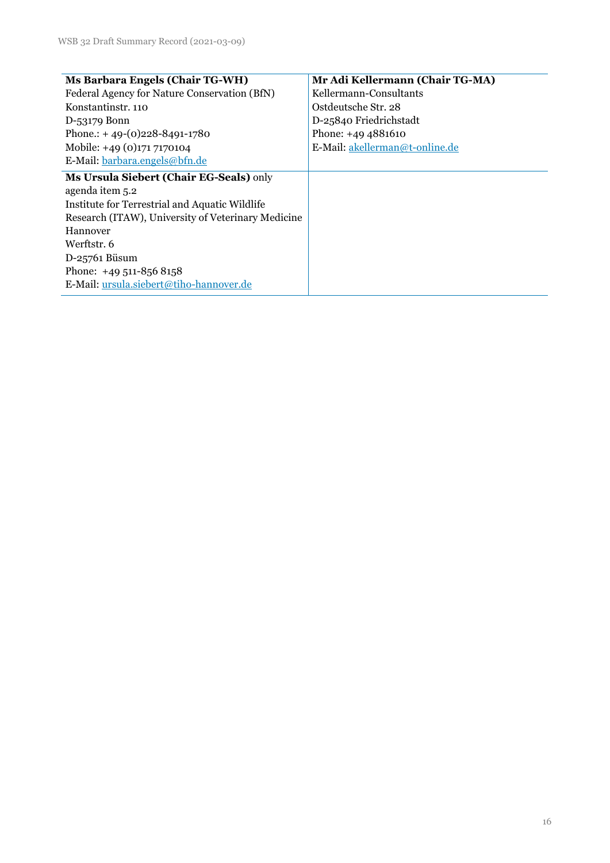| <b>Ms Barbara Engels (Chair TG-WH)</b>             | Mr Adi Kellermann (Chair TG-MA) |  |  |
|----------------------------------------------------|---------------------------------|--|--|
| Federal Agency for Nature Conservation (BfN)       | Kellermann-Consultants          |  |  |
| Konstantinstr. 110                                 | Ostdeutsche Str. 28             |  |  |
| D-53179 Bonn                                       | D-25840 Friedrichstadt          |  |  |
| Phone.: +49-(0)228-8491-1780                       | Phone: +49 4881610              |  |  |
| Mobile: +49 (0)171 7170104                         | E-Mail: akellerman@t-online.de  |  |  |
| E-Mail: barbara.engels@bfn.de                      |                                 |  |  |
| Ms Ursula Siebert (Chair EG-Seals) only            |                                 |  |  |
| agenda item 5.2                                    |                                 |  |  |
| Institute for Terrestrial and Aquatic Wildlife     |                                 |  |  |
| Research (ITAW), University of Veterinary Medicine |                                 |  |  |
| Hannover                                           |                                 |  |  |
| Werftstr. 6                                        |                                 |  |  |
| D-25761 Büsum                                      |                                 |  |  |
| Phone: $+49511-8568158$                            |                                 |  |  |
| E-Mail: ursula.siebert@tiho-hannover.de            |                                 |  |  |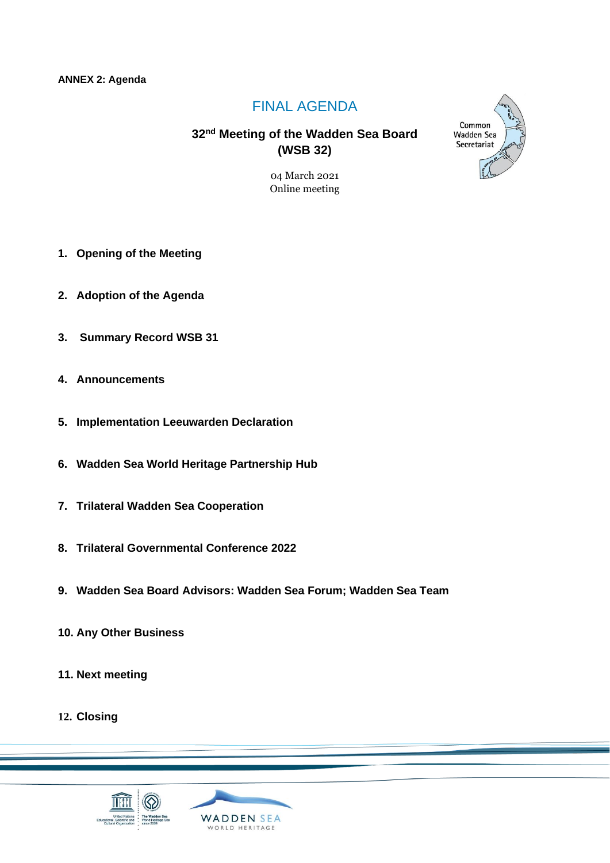#### **ANNEX 2: Agenda**

# FINAL AGENDA

# **32 nd Meeting of the Wadden Sea Board (WSB 32)**

04 March 2021 Online meeting

- **1. Opening of the Meeting**
- **2. Adoption of the Agenda**
- **3. Summary Record WSB 31**
- **4. Announcements**
- **5. Implementation Leeuwarden Declaration**
- **6. Wadden Sea World Heritage Partnership Hub**
- **7. Trilateral Wadden Sea Cooperation**
- **8. Trilateral Governmental Conference 2022**
- **9. Wadden Sea Board Advisors: Wadden Sea Forum; Wadden Sea Team**
- **10. Any Other Business**
- **11. Next meeting**
- **12. Closing**